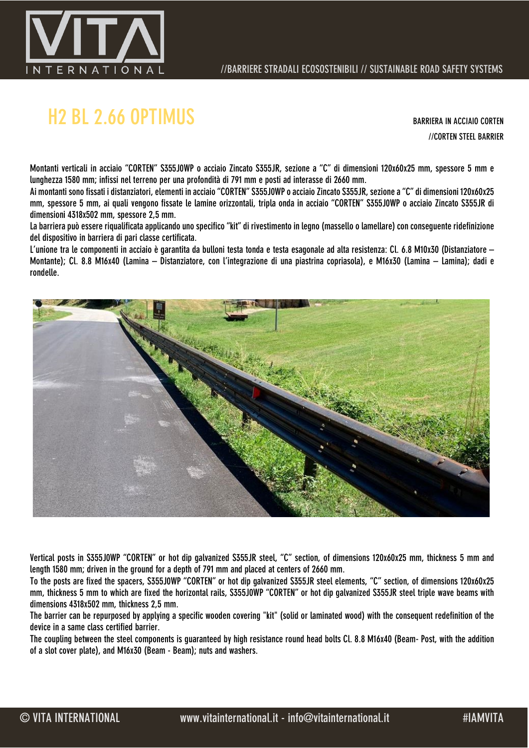

## H2 BL 2.66 OPTIMUS BARRIERA IN ACCIAIO CORTEN

//CORTEN STEEL BARRIER

Montanti verticali in acciaio "CORTEN" S355J0WP o acciaio Zincato S355JR, sezione a "C" di dimensioni 120x60x25 mm, spessore 5 mm e lunghezza 1580 mm; infissi nel terreno per una profondità di 791 mm e posti ad interasse di 2660 mm.

Ai montanti sono fissati i distanziatori, elementi in acciaio "CORTEN" S355J0WP o acciaio Zincato S355JR, sezione a "C" di dimensioni 120x60x25 mm, spessore 5 mm, ai quali vengono fissate le lamine orizzontali, tripla onda in acciaio "CORTEN" S355J0WP o acciaio Zincato S355JR di dimensioni 4318x502 mm, spessore 2,5 mm.

La barriera può essere riqualificata applicando uno specifico "kit" di rivestimento in legno (massello o lamellare) con conseguente ridefinizione del dispositivo in barriera di pari classe certificata.

L'unione tra le componenti in acciaio è garantita da bulloni testa tonda e testa esagonale ad alta resistenza: Cl. 6.8 M10x30 (Distanziatore – Montante); Cl. 8.8 M16x40 (Lamina – Distanziatore, con l'integrazione di una piastrina copriasola), e M16x30 (Lamina – Lamina); dadi e rondelle.



Vertical posts in S355J0WP "CORTEN" or hot dip galvanized S355JR steel, "C" section, of dimensions 120x60x25 mm, thickness 5 mm and length 1580 mm; driven in the ground for a depth of 791 mm and placed at centers of 2660 mm.

To the posts are fixed the spacers, S355J0WP "CORTEN" or hot dip galvanized S355JR steel elements, "C" section, of dimensions 120x60x25 mm, thickness 5 mm to which are fixed the horizontal rails, S355J0WP "CORTEN" or hot dip galvanized S355JR steel triple wave beams with dimensions 4318x502 mm, thickness 2,5 mm.

The barrier can be repurposed by applying a specific wooden covering "kit" (solid or laminated wood) with the consequent redefinition of the device in a same class certified barrier.

The coupling between the steel components is guaranteed by high resistance round head bolts Cl. 8.8 M16x40 (Beam- Post, with the addition of a slot cover plate), and M16x30 (Beam - Beam); nuts and washers.